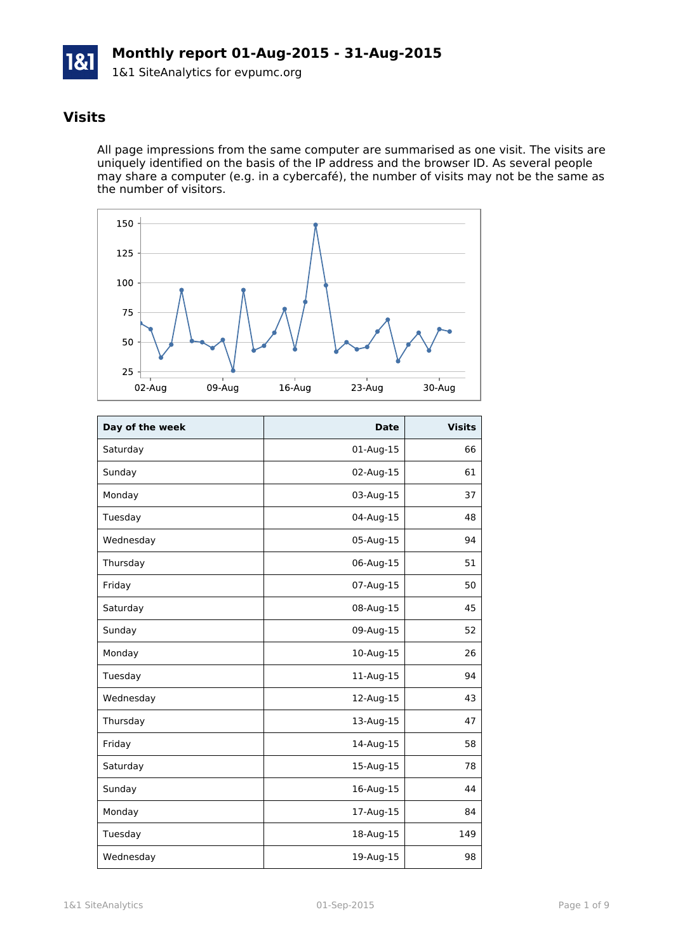

## **Visits**

All page impressions from the same computer are summarised as one visit. The visits are uniquely identified on the basis of the IP address and the browser ID. As several people may share a computer (e.g. in a cybercafé), the number of visits may not be the same as the number of visitors.



| Day of the week | <b>Date</b> | <b>Visits</b> |
|-----------------|-------------|---------------|
| Saturday        | 01-Aug-15   | 66            |
| Sunday          | 02-Aug-15   | 61            |
| Monday          | 03-Aug-15   | 37            |
| Tuesday         | 04-Aug-15   | 48            |
| Wednesday       | 05-Aug-15   | 94            |
| Thursday        | 06-Aug-15   | 51            |
| Friday          | 07-Aug-15   | 50            |
| Saturday        | 08-Aug-15   | 45            |
| Sunday          | 09-Aug-15   | 52            |
| Monday          | 10-Aug-15   | 26            |
| Tuesday         | 11-Aug-15   | 94            |
| Wednesday       | 12-Aug-15   | 43            |
| Thursday        | 13-Aug-15   | 47            |
| Friday          | 14-Aug-15   | 58            |
| Saturday        | 15-Aug-15   | 78            |
| Sunday          | 16-Aug-15   | 44            |
| Monday          | 17-Aug-15   | 84            |
| Tuesday         | 18-Aug-15   | 149           |
| Wednesday       | 19-Aug-15   | 98            |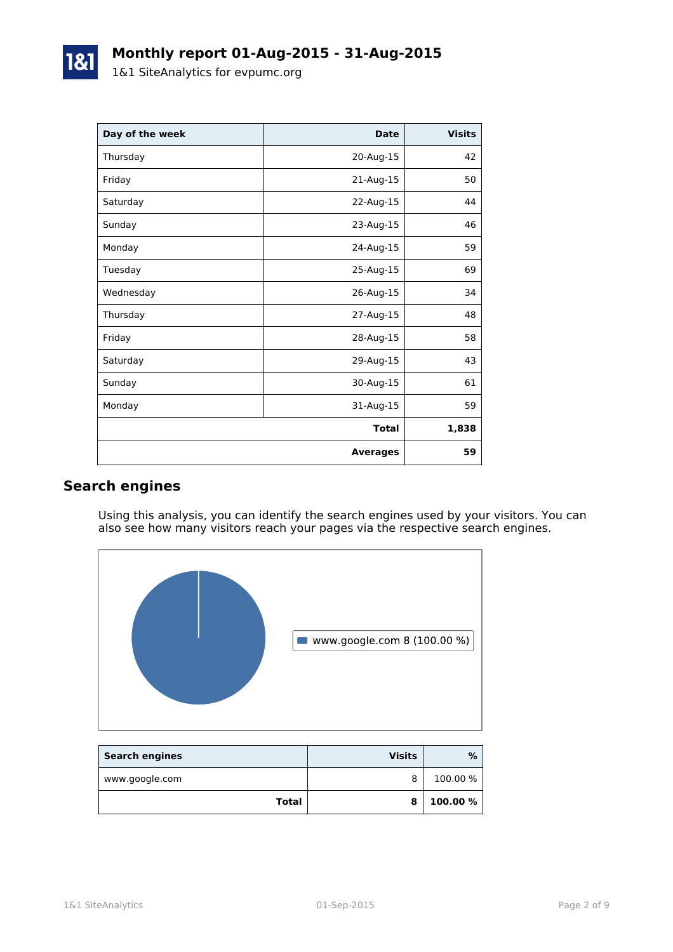| Day of the week | <b>Date</b>     | <b>Visits</b> |
|-----------------|-----------------|---------------|
| Thursday        | 20-Aug-15       | 42            |
| Friday          | 21-Aug-15       | 50            |
| Saturday        | 22-Aug-15       | 44            |
| Sunday          | 23-Aug-15       | 46            |
| Monday          | 24-Aug-15       | 59            |
| Tuesday         | 25-Aug-15       | 69            |
| Wednesday       | 26-Aug-15       | 34            |
| Thursday        | 27-Aug-15       | 48            |
| Friday          | 28-Aug-15       | 58            |
| Saturday        | 29-Aug-15       | 43            |
| Sunday          | 30-Aug-15       | 61            |
| Monday          | 31-Aug-15       | 59            |
|                 | <b>Total</b>    | 1,838         |
|                 | <b>Averages</b> | 59            |

## **Search engines**

Using this analysis, you can identify the search engines used by your visitors. You can also see how many visitors reach your pages via the respective search engines.



| <b>Search engines</b> | <b>Visits</b> | %        |
|-----------------------|---------------|----------|
| www.google.com        | 8             | 100.00 % |
| Total                 |               | 100.00 % |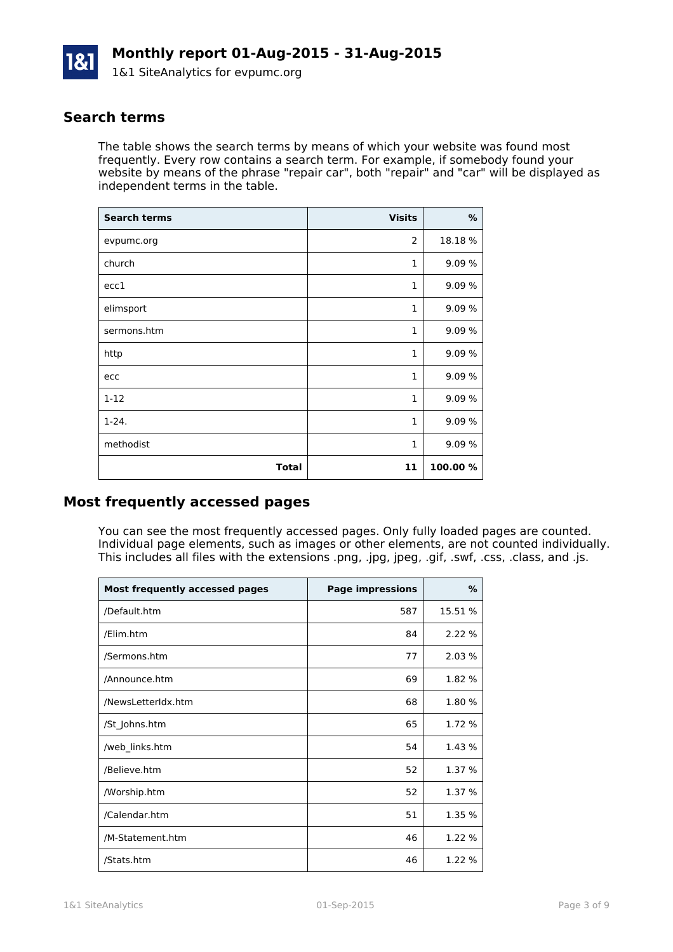

### **Search terms**

The table shows the search terms by means of which your website was found most frequently. Every row contains a search term. For example, if somebody found your website by means of the phrase "repair car", both "repair" and "car" will be displayed as independent terms in the table.

| <b>Search terms</b> | <b>Visits</b> | %       |
|---------------------|---------------|---------|
| evpumc.org          | 2             | 18.18 % |
| church              | 1             | 9.09 %  |
| ecc1                | $\mathbf{1}$  | 9.09 %  |
| elimsport           | $\mathbf{1}$  | 9.09 %  |
| sermons.htm         | $\mathbf{1}$  | 9.09 %  |
| http                | $\mathbf{1}$  | 9.09 %  |
| ecc                 | $\mathbf{1}$  | 9.09 %  |
| $1 - 12$            | $\mathbf{1}$  | 9.09 %  |
| $1 - 24.$           | $\mathbf{1}$  | 9.09 %  |
| methodist           | $\mathbf{1}$  | 9.09 %  |
| <b>Total</b>        | 11            | 100.00% |

### **Most frequently accessed pages**

You can see the most frequently accessed pages. Only fully loaded pages are counted. Individual page elements, such as images or other elements, are not counted individually. This includes all files with the extensions .png, .jpg, jpeg, .gif, .swf, .css, .class, and .js.

| <b>Most frequently accessed pages</b> | <b>Page impressions</b> | $\%$    |
|---------------------------------------|-------------------------|---------|
| /Default.htm                          | 587                     | 15.51 % |
| /Elim.htm                             | 84                      | 2.22 %  |
| /Sermons.htm                          | 77                      | 2.03 %  |
| /Announce.htm                         | 69                      | 1.82 %  |
| /NewsLetterIdx.htm                    | 68                      | 1.80 %  |
| /St Johns.htm                         | 65                      | 1.72 %  |
| /web_links.htm                        | 54                      | 1.43 %  |
| /Believe.htm                          | 52                      | 1.37 %  |
| /Worship.htm                          | 52                      | 1.37 %  |
| /Calendar.htm                         | 51                      | 1.35 %  |
| /M-Statement.htm                      | 46                      | 1.22 %  |
| /Stats.htm                            | 46                      | 1.22 %  |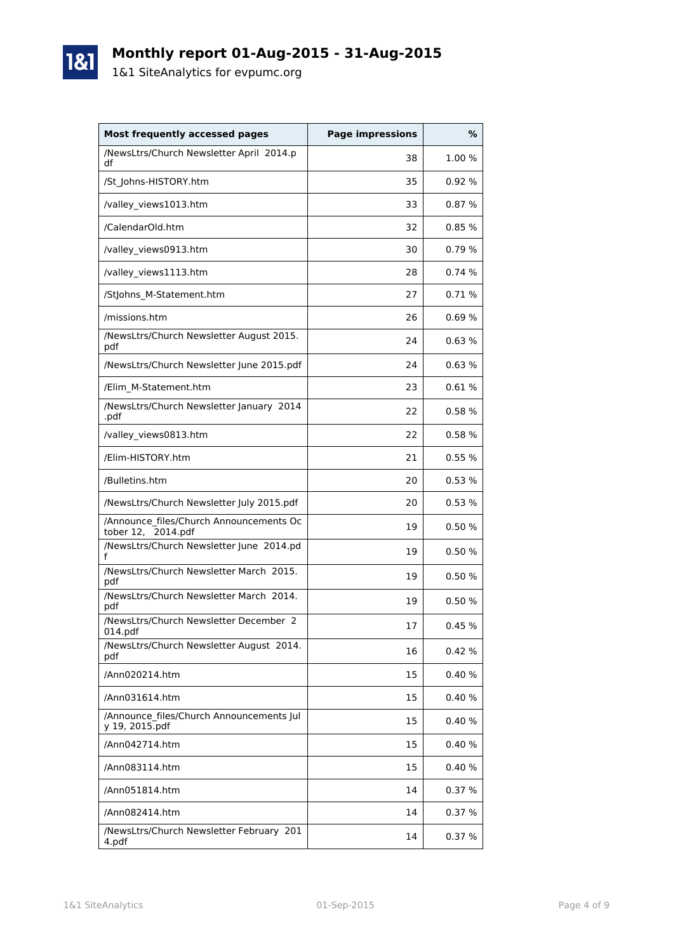# **Monthly report 01-Aug-2015 - 31-Aug-2015**

1&1 SiteAnalytics for evpumc.org

1&1

| <b>Most frequently accessed pages</b>                         | <b>Page impressions</b> | %      |
|---------------------------------------------------------------|-------------------------|--------|
| /NewsLtrs/Church Newsletter April 2014.p<br>df                | 38                      | 1.00 % |
| /St_Johns-HISTORY.htm                                         | 35                      | 0.92%  |
| /valley views1013.htm                                         | 33                      | 0.87%  |
| /CalendarOld.htm                                              | 32                      | 0.85%  |
| /valley_views0913.htm                                         | 30                      | 0.79%  |
| /valley_views1113.htm                                         | 28                      | 0.74%  |
| /StJohns_M-Statement.htm                                      | 27                      | 0.71%  |
| /missions.htm                                                 | 26                      | 0.69%  |
| /NewsLtrs/Church Newsletter August 2015.<br>pdf               | 24                      | 0.63%  |
| /NewsLtrs/Church Newsletter June 2015.pdf                     | 24                      | 0.63%  |
| /Elim_M-Statement.htm                                         | 23                      | 0.61%  |
| /NewsLtrs/Church Newsletter January 2014<br>.pdf              | 22                      | 0.58%  |
| /valley views0813.htm                                         | 22                      | 0.58%  |
| /Elim-HISTORY.htm                                             | 21                      | 0.55%  |
| /Bulletins.htm                                                | 20                      | 0.53%  |
| /NewsLtrs/Church Newsletter July 2015.pdf                     | 20                      | 0.53%  |
| /Announce files/Church Announcements Oc<br>tober 12, 2014.pdf | 19                      | 0.50%  |
| /NewsLtrs/Church Newsletter June 2014.pd<br>f                 | 19                      | 0.50%  |
| /NewsLtrs/Church Newsletter March 2015.<br>pdf                | 19                      | 0.50%  |
| /NewsLtrs/Church Newsletter March 2014.<br>pdf                | 19                      | 0.50%  |
| /NewsLtrs/Church Newsletter December 2<br>014.pdf             | 17                      | 0.45%  |
| /NewsLtrs/Church Newsletter August 2014.<br>pdf               | 16                      | 0.42%  |
| /Ann020214.htm                                                | 15                      | 0.40%  |
| /Ann031614.htm                                                | 15                      | 0.40%  |
| /Announce files/Church Announcements Jul<br>y 19, 2015.pdf    | 15                      | 0.40%  |
| /Ann042714.htm                                                | 15                      | 0.40%  |
| /Ann083114.htm                                                | 15                      | 0.40%  |
| /Ann051814.htm                                                | 14                      | 0.37%  |
| /Ann082414.htm                                                | 14                      | 0.37%  |
| /NewsLtrs/Church Newsletter February 201<br>4.pdf             | 14                      | 0.37%  |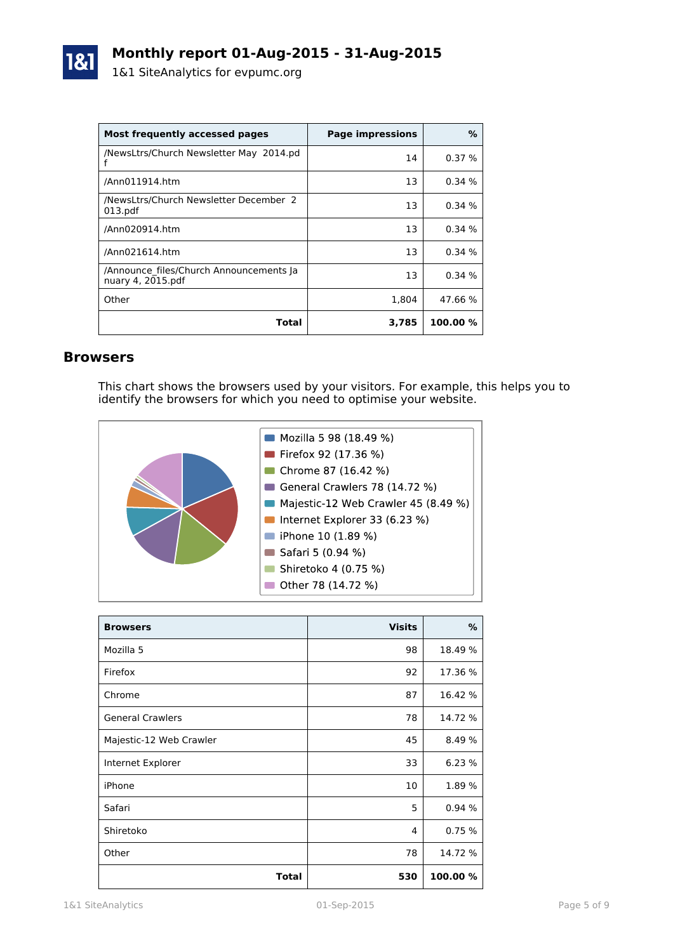

| Most frequently accessed pages                               | <b>Page impressions</b> | %        |
|--------------------------------------------------------------|-------------------------|----------|
| /NewsLtrs/Church Newsletter May 2014.pd                      | 14                      | 0.37%    |
| /Ann011914.htm                                               | 13                      | 0.34%    |
| /NewsLtrs/Church Newsletter December 2<br>013.pdf            | 13                      | 0.34%    |
| /Ann020914.htm                                               | 13                      | 0.34%    |
| /Ann021614.htm                                               | 13                      | 0.34%    |
| /Announce files/Church Announcements Ja<br>nuary 4, 2015.pdf | 13                      | 0.34%    |
| Other                                                        | 1.804                   | 47.66 %  |
| Total                                                        | 3,785                   | 100.00 % |

#### **Browsers**

This chart shows the browsers used by your visitors. For example, this helps you to identify the browsers for which you need to optimise your website.



| <b>Browsers</b>         | <b>Visits</b> | %        |
|-------------------------|---------------|----------|
| Mozilla 5               | 98            | 18.49 %  |
| Firefox                 | 92            | 17.36 %  |
| Chrome                  | 87            | 16.42 %  |
| <b>General Crawlers</b> | 78            | 14.72 %  |
| Majestic-12 Web Crawler | 45            | 8.49 %   |
| Internet Explorer       | 33            | 6.23%    |
| iPhone                  | 10            | 1.89 %   |
| Safari                  | 5             | 0.94%    |
| Shiretoko               | 4             | 0.75%    |
| Other                   | 78            | 14.72 %  |
| <b>Total</b>            | 530           | 100.00 % |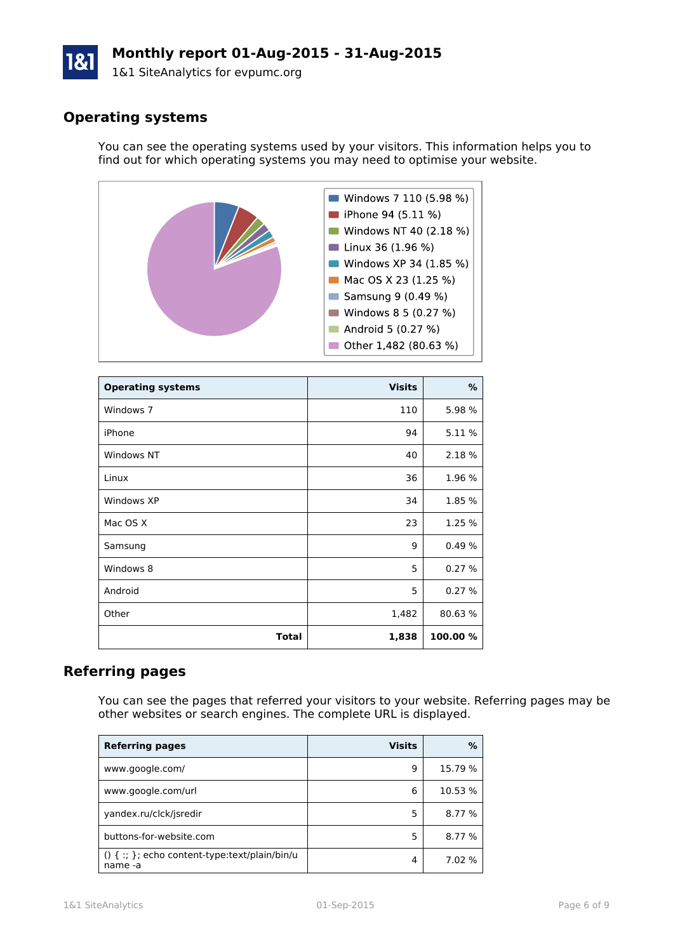# **Monthly report 01-Aug-2015 - 31-Aug-2015**

1&1 SiteAnalytics for evpumc.org

## **Operating systems**

You can see the operating systems used by your visitors. This information helps you to find out for which operating systems you may need to optimise your website.



| <b>Operating systems</b> | <b>Visits</b> | %        |
|--------------------------|---------------|----------|
| Windows 7                | 110           | 5.98 %   |
| iPhone                   | 94            | 5.11 %   |
| Windows NT               | 40            | 2.18 %   |
| Linux                    | 36            | 1.96 %   |
| Windows XP               | 34            | 1.85 %   |
| Mac OS X                 | 23            | 1.25 %   |
| Samsung                  | 9             | 0.49%    |
| Windows 8                | 5             | 0.27%    |
| Android                  | 5             | 0.27%    |
| Other                    | 1,482         | 80.63%   |
| Total                    | 1,838         | 100.00 % |

#### **Referring pages**

You can see the pages that referred your visitors to your website. Referring pages may be other websites or search engines. The complete URL is displayed.

| <b>Referring pages</b>                                        | <b>Visits</b> | ℅       |
|---------------------------------------------------------------|---------------|---------|
| www.google.com/                                               | q             | 15.79 % |
| www.google.com/url                                            | 6             | 10.53 % |
| yandex.ru/clck/jsredir                                        | 5             | 8.77 %  |
| buttons-for-website.com                                       | 5             | 8.77 %  |
| $() \{ :; \}$ ; echo content-type:text/plain/bin/u<br>name -a | 4             | 7.02 %  |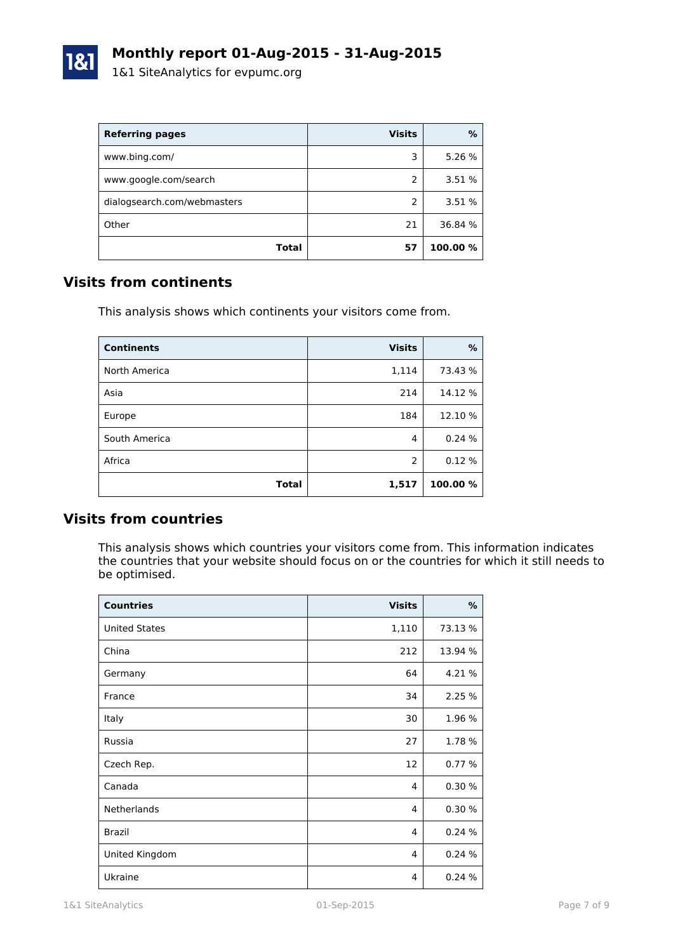

| <b>Referring pages</b>      | <b>Visits</b> | %        |
|-----------------------------|---------------|----------|
| www.bing.com/               | 3             | 5.26 %   |
| www.google.com/search       | 2             | 3.51 %   |
| dialogsearch.com/webmasters | 2             | 3.51 %   |
| Other                       | 21            | 36.84 %  |
| Total                       | 57            | 100.00 % |

## **Visits from continents**

This analysis shows which continents your visitors come from.

| <b>Continents</b> | <b>Visits</b> | %        |
|-------------------|---------------|----------|
| North America     | 1,114         | 73.43 %  |
| Asia              | 214           | 14.12 %  |
| Europe            | 184           | 12.10 %  |
| South America     | 4             | 0.24%    |
| Africa            | 2             | 0.12%    |
| Total             | 1,517         | 100.00 % |

### **Visits from countries**

This analysis shows which countries your visitors come from. This information indicates the countries that your website should focus on or the countries for which it still needs to be optimised.

| <b>Countries</b>     | <b>Visits</b> | %       |
|----------------------|---------------|---------|
| <b>United States</b> | 1,110         | 73.13 % |
| China                | 212           | 13.94 % |
| Germany              | 64            | 4.21 %  |
| France               | 34            | 2.25 %  |
| Italy                | 30            | 1.96 %  |
| Russia               | 27            | 1.78 %  |
| Czech Rep.           | 12            | 0.77%   |
| Canada               | 4             | 0.30%   |
| Netherlands          | 4             | 0.30%   |
| <b>Brazil</b>        | 4             | 0.24%   |
| United Kingdom       | 4             | 0.24%   |
| Ukraine              | 4             | 0.24%   |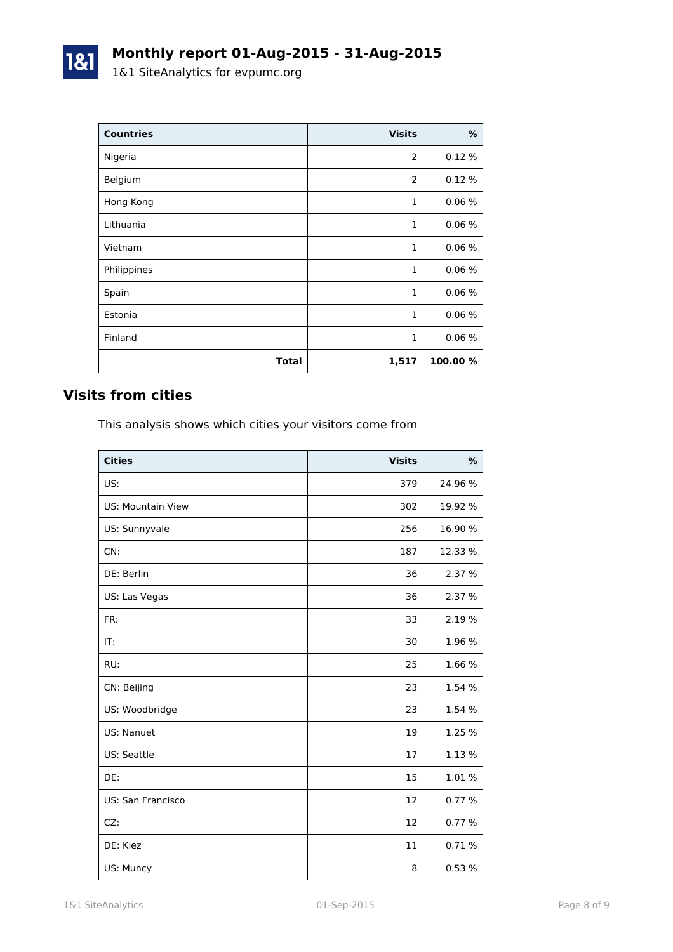| <b>Countries</b> | <b>Visits</b>  | %        |
|------------------|----------------|----------|
| Nigeria          | $\overline{2}$ | 0.12%    |
| Belgium          | $\overline{2}$ | 0.12%    |
| Hong Kong        | 1              | 0.06%    |
| Lithuania        | 1              | 0.06%    |
| Vietnam          | 1              | 0.06%    |
| Philippines      | 1              | 0.06%    |
| Spain            | 1              | 0.06%    |
| Estonia          | 1              | 0.06%    |
| Finland          | 1              | 0.06%    |
| <b>Total</b>     | 1,517          | 100.00 % |

## **Visits from cities**

1&1

This analysis shows which cities your visitors come from

| <b>Cities</b>     | <b>Visits</b> | $\%$    |
|-------------------|---------------|---------|
| US:               | 379           | 24.96 % |
| US: Mountain View | 302           | 19.92 % |
| US: Sunnyvale     | 256           | 16.90 % |
| CN:               | 187           | 12.33 % |
| DE: Berlin        | 36            | 2.37 %  |
| US: Las Vegas     | 36            | 2.37 %  |
| FR:               | 33            | 2.19 %  |
| IT:               | 30            | 1.96 %  |
| RU:               | 25            | 1.66 %  |
| CN: Beijing       | 23            | 1.54 %  |
| US: Woodbridge    | 23            | 1.54 %  |
| US: Nanuet        | 19            | 1.25 %  |
| US: Seattle       | 17            | 1.13 %  |
| DE:               | 15            | 1.01 %  |
| US: San Francisco | 12            | 0.77 %  |
| CZ:               | 12            | 0.77%   |
| DE: Kiez          | 11            | 0.71%   |
| US: Muncy         | 8             | 0.53%   |